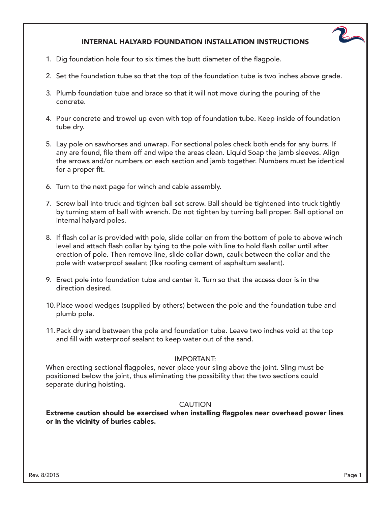## INTERNAL HALYARD FOUNDATION INSTALLATION INSTRUCTIONS

- 1. Dig foundation hole four to six times the butt diameter of the flagpole.
- 2. Set the foundation tube so that the top of the foundation tube is two inches above grade.
- 3. Plumb foundation tube and brace so that it will not move during the pouring of the concrete.
- 4. Pour concrete and trowel up even with top of foundation tube. Keep inside of foundation tube dry.
- 5. Lay pole on sawhorses and unwrap. For sectional poles check both ends for any burrs. If any are found, file them off and wipe the areas clean. Liquid Soap the jamb sleeves. Align the arrows and/or numbers on each section and jamb together. Numbers must be identical for a proper fit.
- 6. Turn to the next page for winch and cable assembly.
- 7. Screw ball into truck and tighten ball set screw. Ball should be tightened into truck tightly by turning stem of ball with wrench. Do not tighten by turning ball proper. Ball optional on internal halyard poles.
- 8. If flash collar is provided with pole, slide collar on from the bottom of pole to above winch level and attach flash collar by tying to the pole with line to hold flash collar until after erection of pole. Then remove line, slide collar down, caulk between the collar and the pole with waterproof sealant (like roofing cement of asphaltum sealant).
- 9. Erect pole into foundation tube and center it. Turn so that the access door is in the direction desired.
- 10. Place wood wedges (supplied by others) between the pole and the foundation tube and plumb pole.
- 11. Pack dry sand between the pole and foundation tube. Leave two inches void at the top and fill with waterproof sealant to keep water out of the sand.

## IMPORTANT:

When erecting sectional flagpoles, never place your sling above the joint. Sling must be positioned below the joint, thus eliminating the possibility that the two sections could separate during hoisting.

## CAUTION

Extreme caution should be exercised when installing flagpoles near overhead power lines or in the vicinity of buries cables.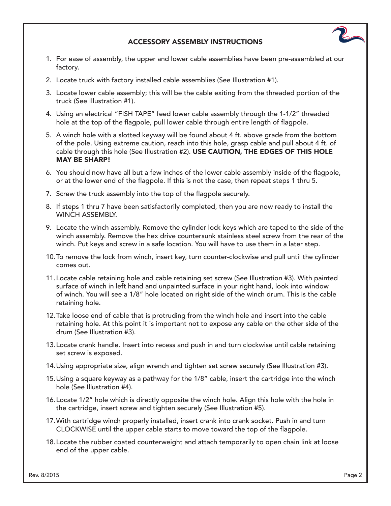## ACCESSORY ASSEMBLY INSTRUCTIONS

- 1. For ease of assembly, the upper and lower cable assemblies have been pre-assembled at our factory.
- 2. Locate truck with factory installed cable assemblies (See Illustration #1).
- 3. Locate lower cable assembly; this will be the cable exiting from the threaded portion of the truck (See Illustration #1).
- 4. Using an electrical "FISH TAPE" feed lower cable assembly through the 1-1/2" threaded hole at the top of the flagpole, pull lower cable through entire length of flagpole.
- 5. A winch hole with a slotted keyway will be found about 4 ft. above grade from the bottom of the pole. Using extreme caution, reach into this hole, grasp cable and pull about 4 ft. of cable through this hole (See Illustration #2). USE CAUTION, THE EDGES OF THIS HOLE MAY BE SHARP!
- 6. You should now have all but a few inches of the lower cable assembly inside of the flagpole, or at the lower end of the flagpole. If this is not the case, then repeat steps 1 thru 5.
- 7. Screw the truck assembly into the top of the flagpole securely.
- 8. If steps 1 thru 7 have been satisfactorily completed, then you are now ready to install the WINCH ASSEMBLY.
- 9. Locate the winch assembly. Remove the cylinder lock keys which are taped to the side of the winch assembly. Remove the hex drive countersunk stainless steel screw from the rear of the winch. Put keys and screw in a safe location. You will have to use them in a later step.
- 10. To remove the lock from winch, insert key, turn counter-clockwise and pull until the cylinder comes out.
- 11. Locate cable retaining hole and cable retaining set screw (See Illustration #3). With painted surface of winch in left hand and unpainted surface in your right hand, look into window of winch. You will see a 1/8" hole located on right side of the winch drum. This is the cable retaining hole.
- 12. Take loose end of cable that is protruding from the winch hole and insert into the cable retaining hole. At this point it is important not to expose any cable on the other side of the drum (See Illustration #3).
- 13. Locate crank handle. Insert into recess and push in and turn clockwise until cable retaining set screw is exposed.
- 14. Using appropriate size, align wrench and tighten set screw securely (See Illustration #3).
- 15. Using a square keyway as a pathway for the 1/8" cable, insert the cartridge into the winch hole (See Illustration #4).
- 16. Locate 1/2" hole which is directly opposite the winch hole. Align this hole with the hole in the cartridge, insert screw and tighten securely (See Illustration #5).
- 17. With cartridge winch properly installed, insert crank into crank socket. Push in and turn CLOCKWISE until the upper cable starts to move toward the top of the flagpole.
- 18. Locate the rubber coated counterweight and attach temporarily to open chain link at loose end of the upper cable.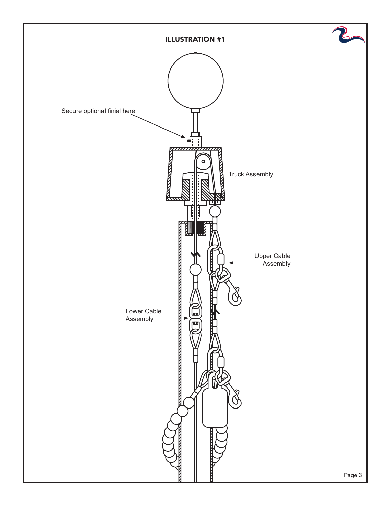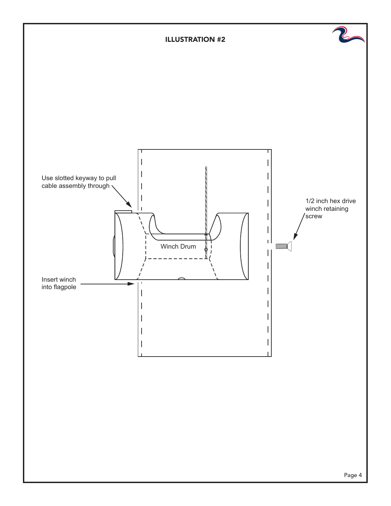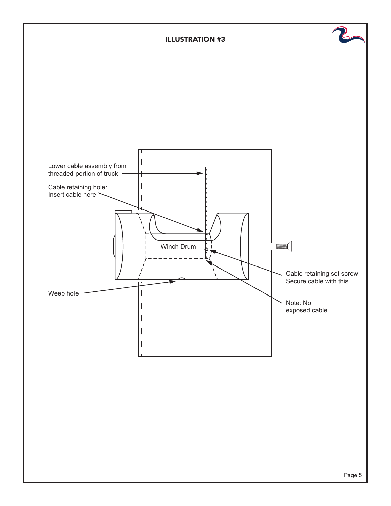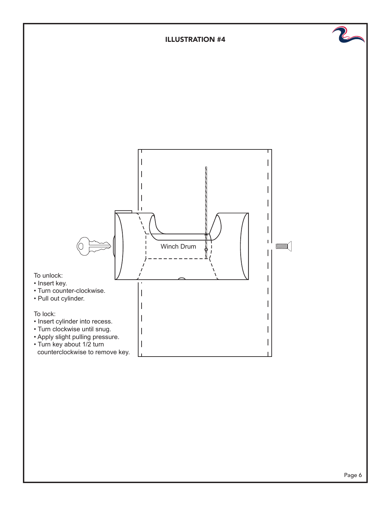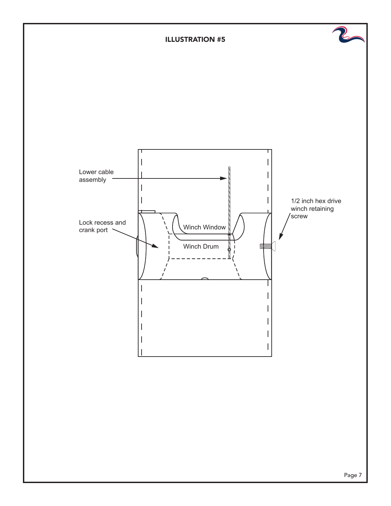